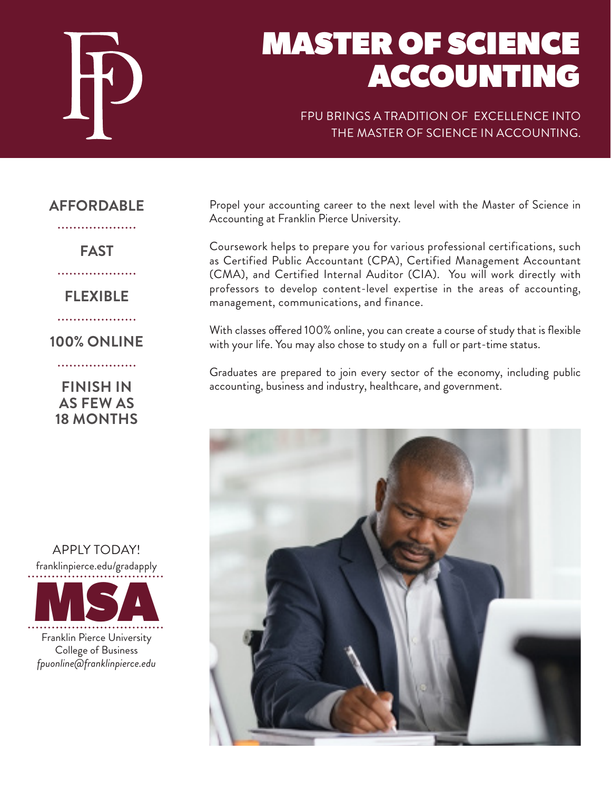

# MASTER OF SCIENCE ACCOUNTING

FPU BRINGS A TRADITION OF EXCELLENCE INTO THE MASTER OF SCIENCE IN ACCOUNTING.

## **AFFORDABLE**

. . . . . . . . . . . . . . . . . . . .

**FAST**

. . . . . . . . . . . . . . . . . . .

**FLEXIBLE**

. . . . . . . . . . . . . . . . .

**100% ONLINE**

. . . . . . . . . . . . . . . . . . . .

**FINISH IN AS FEW AS 18 MONTHS**



Propel your accounting career to the next level with the Master of Science in Accounting at Franklin Pierce University.

Coursework helps to prepare you for various professional certifications, such as Certified Public Accountant (CPA), Certified Management Accountant (CMA), and Certified Internal Auditor (CIA). You will work directly with professors to develop content-level expertise in the areas of accounting, management, communications, and finance.

With classes offered 100% online, you can create a course of study that is flexible with your life. You may also chose to study on a full or part-time status.

Graduates are prepared to join every sector of the economy, including public accounting, business and industry, healthcare, and government.